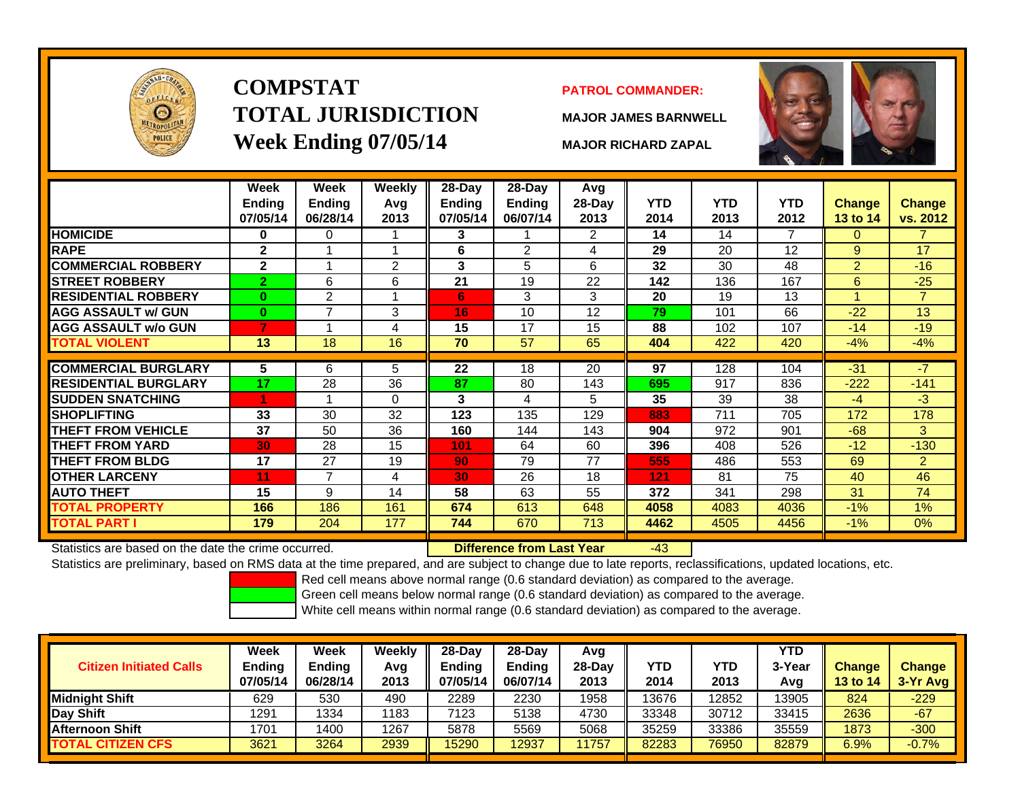

# **COMPSTATTOTAL JURISDICTIONWeek Ending 07/05/14 MAJOR RICHARD ZAPAL**

#### **PATROL COMMANDER:**

**MAJOR JAMES BARNWELL**



-43

|                             | Week<br><b>Ending</b><br>07/05/14 | Week<br><b>Ending</b><br>06/28/14 | <b>Weekly</b><br>Avg<br>2013 | 28-Day<br>Ending<br>07/05/14 | $28$ -Day<br><b>Ending</b><br>06/07/14 | Avg<br>28-Day<br>2013 | <b>YTD</b><br>2014 | <b>YTD</b><br>2013 | <b>YTD</b><br>2012 | Change<br><b>13 to 14</b> | <b>Change</b><br>vs. 2012 |
|-----------------------------|-----------------------------------|-----------------------------------|------------------------------|------------------------------|----------------------------------------|-----------------------|--------------------|--------------------|--------------------|---------------------------|---------------------------|
| <b>HOMICIDE</b>             | $\bf{0}$                          | 0                                 |                              | 3                            |                                        | 2                     | 14                 | 14                 | 7                  | $\mathbf{0}$              | 7.                        |
| <b>RAPE</b>                 | $\mathbf{2}$                      |                                   |                              | 6                            | 2                                      | 4                     | 29                 | 20                 | 12                 | 9                         | 17                        |
| <b>COMMERCIAL ROBBERY</b>   | $\mathbf{2}$                      |                                   | 2                            | 3                            | 5                                      | 6                     | 32                 | 30                 | 48                 | $\overline{2}$            | $-16$                     |
| <b>STREET ROBBERY</b>       | $\overline{2}$                    | 6                                 | 6                            | 21                           | 19                                     | 22                    | 142                | 136                | 167                | 6                         | $-25$                     |
| <b>RESIDENTIAL ROBBERY</b>  | $\bf{0}$                          | $\overline{2}$                    |                              | 6                            | 3                                      | 3                     | 20                 | 19                 | 13                 | -4                        | $\overline{7}$            |
| <b>AGG ASSAULT w/ GUN</b>   | $\bf{0}$                          | 7                                 | 3                            | 16                           | 10                                     | 12                    | 79                 | 101                | 66                 | $-22$                     | 13                        |
| <b>AGG ASSAULT w/o GUN</b>  | 7                                 |                                   | 4                            | 15                           | 17                                     | 15                    | 88                 | 102                | 107                | $-14$                     | $-19$                     |
| <b>TOTAL VIOLENT</b>        | 13                                | 18                                | 16                           | 70                           | 57                                     | 65                    | 404                | 422                | 420                | $-4%$                     | $-4%$                     |
| <b>COMMERCIAL BURGLARY</b>  | 5                                 | 6                                 | 5                            | 22                           | 18                                     | 20                    | 97                 | 128                | 104                | $-31$                     | $-7$                      |
|                             |                                   |                                   |                              |                              |                                        |                       |                    |                    |                    |                           |                           |
| <b>RESIDENTIAL BURGLARY</b> | 17                                | 28                                | 36                           | 87                           | 80                                     | 143                   | 695                | 917                | 836                | $-222$                    | $-141$                    |
| <b>SUDDEN SNATCHING</b>     | 1                                 |                                   | $\Omega$                     | 3                            | 4                                      | 5                     | 35                 | 39                 | 38                 | $-4$                      | $-3$                      |
| <b>ISHOPLIFTING</b>         | 33                                | 30                                | 32                           | 123                          | 135                                    | 129                   | 883                | 711                | 705                | 172                       | 178                       |
| <b>THEFT FROM VEHICLE</b>   | 37                                | 50                                | 36                           | 160                          | 144                                    | 143                   | 904                | 972                | 901                | $-68$                     | 3 <sup>1</sup>            |
| <b>THEFT FROM YARD</b>      | 30                                | 28                                | 15                           | 101                          | 64                                     | 60                    | 396                | 408                | 526                | $-12$                     | $-130$                    |
| <b>THEFT FROM BLDG</b>      | 17                                | 27                                | 19                           | 90                           | 79                                     | 77                    | 555                | 486                | 553                | 69                        | $\overline{2}$            |
| <b>OTHER LARCENY</b>        | 11                                | 7                                 | 4                            | 30                           | 26                                     | 18                    | 121                | 81                 | 75                 | 40                        | 46                        |
| <b>AUTO THEFT</b>           | 15                                | 9                                 | 14                           | 58                           | 63                                     | 55                    | 372                | 341                | 298                | 31                        | 74                        |
| <b>TOTAL PROPERTY</b>       | 166                               | 186                               | 161                          | 674                          | 613                                    | 648                   | 4058               | 4083               | 4036               | $-1%$                     | 1%                        |
| <b>TOTAL PART I</b>         | 179                               | 204                               | 177                          | 744                          | 670                                    | 713                   | 4462               | 4505               | 4456               | $-1\%$                    | $0\%$                     |

Statistics are based on the date the crime occurred. **Difference from Last Year** 

Statistics are preliminary, based on RMS data at the time prepared, and are subject to change due to late reports, reclassifications, updated locations, etc.

Red cell means above normal range (0.6 standard deviation) as compared to the average.

Green cell means below normal range (0.6 standard deviation) as compared to the average.

| <b>Citizen Initiated Calls</b> | Week<br><b>Ending</b><br>07/05/14 | Week<br><b>Ending</b><br>06/28/14 | Weekly<br>Avg<br>2013 | $28$ -Dav<br><b>Ending</b><br>07/05/14 | 28-Dav<br><b>Ending</b><br>06/07/14 | Avg<br>$28-Day$<br>2013 | YTD<br>2014 | YTD<br>2013 | <b>YTD</b><br>3-Year<br>Avg | <b>Change</b><br><b>13 to 14</b> | <b>Change</b><br>3-Yr Avg |
|--------------------------------|-----------------------------------|-----------------------------------|-----------------------|----------------------------------------|-------------------------------------|-------------------------|-------------|-------------|-----------------------------|----------------------------------|---------------------------|
| <b>I</b> Midniaht Shift        | 629                               | 530                               | 490                   | 2289                                   | 2230                                | 1958                    | 13676       | 12852       | 13905                       | 824                              | $-229$                    |
| Day Shift                      | 1291                              | 1334                              | 1183                  | 7123                                   | 5138                                | 4730                    | 33348       | 30712       | 33415                       | 2636                             | $-67$                     |
| <b>Afternoon Shift</b>         | 1701                              | 1400                              | 1267                  | 5878                                   | 5569                                | 5068                    | 35259       | 33386       | 35559                       | 1873                             | $-300$                    |
| <b>TOTAL CITIZEN CFS</b>       | 3621                              | 3264                              | 2939                  | 15290                                  | 12937                               | 1757                    | 82283       | 76950       | 82879                       | 6.9%                             | $-0.7%$                   |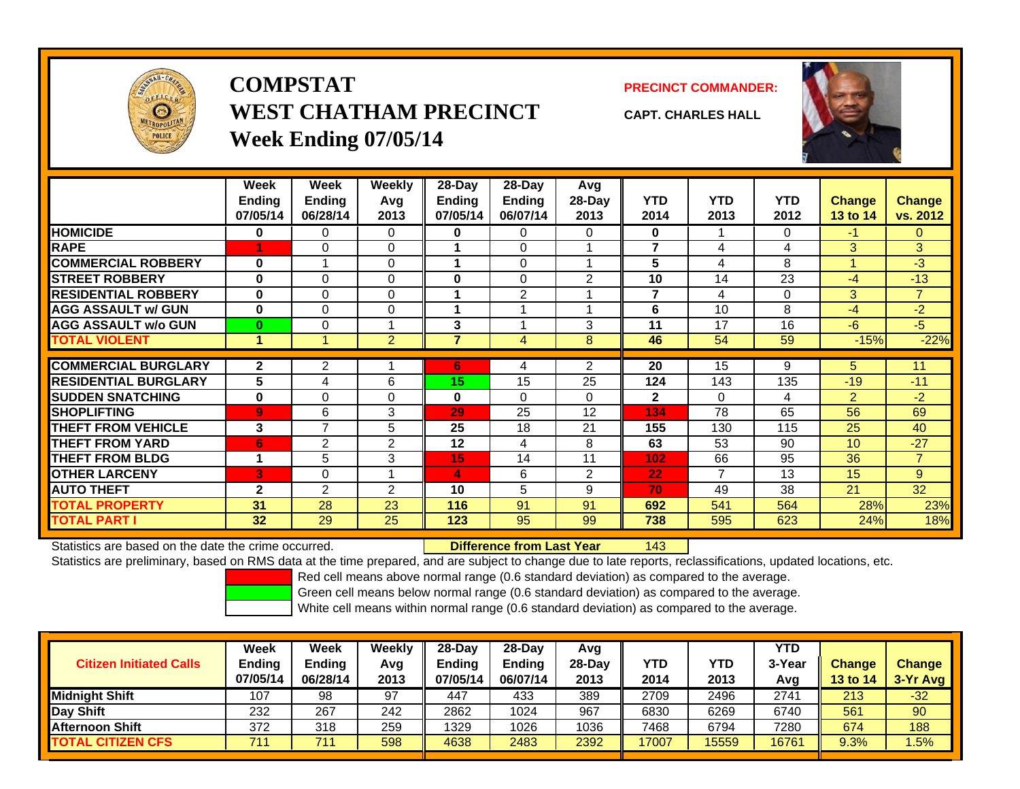

# **COMPSTATWEST CHATHAM PRECINCTWeek Ending 07/05/14**

**PRECINCT COMMANDER:**



**CAPT. CHARLES HALL**

|                             | Week<br><b>Ending</b><br>07/05/14 | <b>Week</b><br><b>Ending</b><br>06/28/14 | Weekly<br>Avg<br>2013 | $28 - Day$<br><b>Ending</b><br>07/05/14 | 28-Day<br><b>Ending</b><br>06/07/14 | Avg<br>$28-Day$<br>2013 | <b>YTD</b><br>2014 | <b>YTD</b><br>2013 | <b>YTD</b><br>2012 | <b>Change</b><br>13 to 14 | <b>Change</b><br>vs. 2012 |
|-----------------------------|-----------------------------------|------------------------------------------|-----------------------|-----------------------------------------|-------------------------------------|-------------------------|--------------------|--------------------|--------------------|---------------------------|---------------------------|
| <b>HOMICIDE</b>             | $\bf{0}$                          | 0                                        | 0                     | $\bf{0}$                                | 0                                   | $\Omega$                | 0                  | 1                  | 0                  | $-1$                      | 0                         |
| <b>RAPE</b>                 |                                   | $\Omega$                                 | $\Omega$              |                                         | $\Omega$                            | 1                       | 7                  | 4                  | 4                  | 3                         | 3                         |
| <b>COMMERCIAL ROBBERY</b>   | $\bf{0}$                          |                                          | 0                     | 1                                       | 0                                   | 1                       | 5                  | 4                  | 8                  |                           | -3                        |
| <b>STREET ROBBERY</b>       | $\bf{0}$                          | $\Omega$                                 | 0                     | $\bf{0}$                                | 0                                   | 2                       | 10                 | 14                 | 23                 | $-4$                      | $-13$                     |
| <b>RESIDENTIAL ROBBERY</b>  | $\bf{0}$                          | $\Omega$                                 | $\Omega$              |                                         | $\overline{2}$                      |                         | 7                  | 4                  | 0                  | 3                         | $\overline{7}$            |
| <b>AGG ASSAULT w/ GUN</b>   | $\bf{0}$                          | $\Omega$                                 | 0                     | 1                                       |                                     | 1                       | 6                  | 10                 | 8                  | -4                        | -2                        |
| <b>AGG ASSAULT w/o GUN</b>  | $\bf{0}$                          | $\Omega$                                 |                       | 3                                       |                                     | 3                       | 11                 | 17                 | 16                 | $-6$                      | $-5$                      |
| <b>TOTAL VIOLENT</b>        | $\blacktriangleleft$              |                                          | $\overline{2}$        | $\overline{7}$                          | 4                                   | 8                       | 46                 | 54                 | 59                 | $-15%$                    | $-22%$                    |
|                             |                                   |                                          |                       |                                         |                                     |                         |                    |                    |                    |                           |                           |
| <b>COMMERCIAL BURGLARY</b>  | $\mathbf{2}$                      | 2                                        |                       | 6                                       | 4                                   | 2                       | 20                 | 15                 | 9                  | 5                         | 11                        |
| <b>RESIDENTIAL BURGLARY</b> | 5                                 | 4                                        | 6                     | 15                                      | 15                                  | 25                      | 124                | 143                | 135                | $-19$                     | $-11$                     |
| <b>SUDDEN SNATCHING</b>     | $\bf{0}$                          | $\Omega$                                 | $\Omega$              | $\bf{0}$                                | 0                                   | 0                       | $\mathbf{2}$       | $\Omega$           | 4                  | 2                         | $-2$                      |
| <b>SHOPLIFTING</b>          | 9                                 | 6                                        | 3                     | 29                                      | 25                                  | 12                      | 134                | 78                 | 65                 | 56                        | 69                        |
| <b>THEFT FROM VEHICLE</b>   | 3                                 | $\overline{7}$                           | 5                     | 25                                      | 18                                  | 21                      | 155                | 130                | 115                | 25                        | 40                        |
| <b>THEFT FROM YARD</b>      | 6                                 | 2                                        | 2                     | 12                                      | 4                                   | 8                       | 63                 | 53                 | 90                 | 10                        | $-27$                     |
| <b>THEFT FROM BLDG</b>      |                                   | 5                                        | 3                     | 15                                      | 14                                  | 11                      | 102                | 66                 | 95                 | 36                        | $\overline{7}$            |
| <b>OTHER LARCENY</b>        | 3                                 | $\Omega$                                 |                       | 4                                       | 6                                   | 2                       | 22                 | 7                  | 13                 | 15                        | 9                         |
| <b>AUTO THEFT</b>           | $\overline{2}$                    | 2                                        | 2                     | 10                                      | 5                                   | 9                       | 70                 | 49                 | 38                 | 21                        | 32                        |
| <b>TOTAL PROPERTY</b>       | 31                                | 28                                       | 23                    | 116                                     | 91                                  | 91                      | 692                | 541                | 564                | 28%                       | 23%                       |
| TOTAL PART I                | 32                                | 29                                       | 25                    | 123                                     | 95                                  | 99                      | 738                | 595                | 623                | 24%                       | 18%                       |

Statistics are based on the date the crime occurred. **Difference from Last Year** 

143

Statistics are preliminary, based on RMS data at the time prepared, and are subject to change due to late reports, reclassifications, updated locations, etc.

Red cell means above normal range (0.6 standard deviation) as compared to the average.

Green cell means below normal range (0.6 standard deviation) as compared to the average.

| <b>Citizen Initiated Calls</b> | Week<br><b>Ending</b><br>07/05/14 | <b>Week</b><br><b>Ending</b><br>06/28/14 | Weekly<br>Avg<br>2013 | $28-Day$<br><b>Ending</b><br>07/05/14 | $28$ -Day<br><b>Ending</b><br>06/07/14 | Avg<br>28-Day<br>2013 | YTD<br>2014 | YTD<br>2013 | <b>YTD</b><br>3-Year<br>Avg | <b>Change</b><br><b>13 to 14</b> | <b>Change</b><br>3-Yr Avg |
|--------------------------------|-----------------------------------|------------------------------------------|-----------------------|---------------------------------------|----------------------------------------|-----------------------|-------------|-------------|-----------------------------|----------------------------------|---------------------------|
| Midnight Shift                 | 107                               | 98                                       | 97                    | 447                                   | 433                                    | 389                   | 2709        | 2496        | 2741                        | 213                              | $-32$                     |
| Day Shift                      | 232                               | 267                                      | 242                   | 2862                                  | 1024                                   | 967                   | 6830        | 6269        | 6740                        | 561                              | 90                        |
| <b>Afternoon Shift</b>         | 372                               | 318                                      | 259                   | 1329                                  | 1026                                   | 1036                  | 7468        | 6794        | 7280                        | 674                              | 188                       |
| <b>TOTAL CITIZEN CFS</b>       | 711                               | 744                                      | 598                   | 4638                                  | 2483                                   | 2392                  | 17007       | 15559       | 16761                       | 9.3%                             | .5%                       |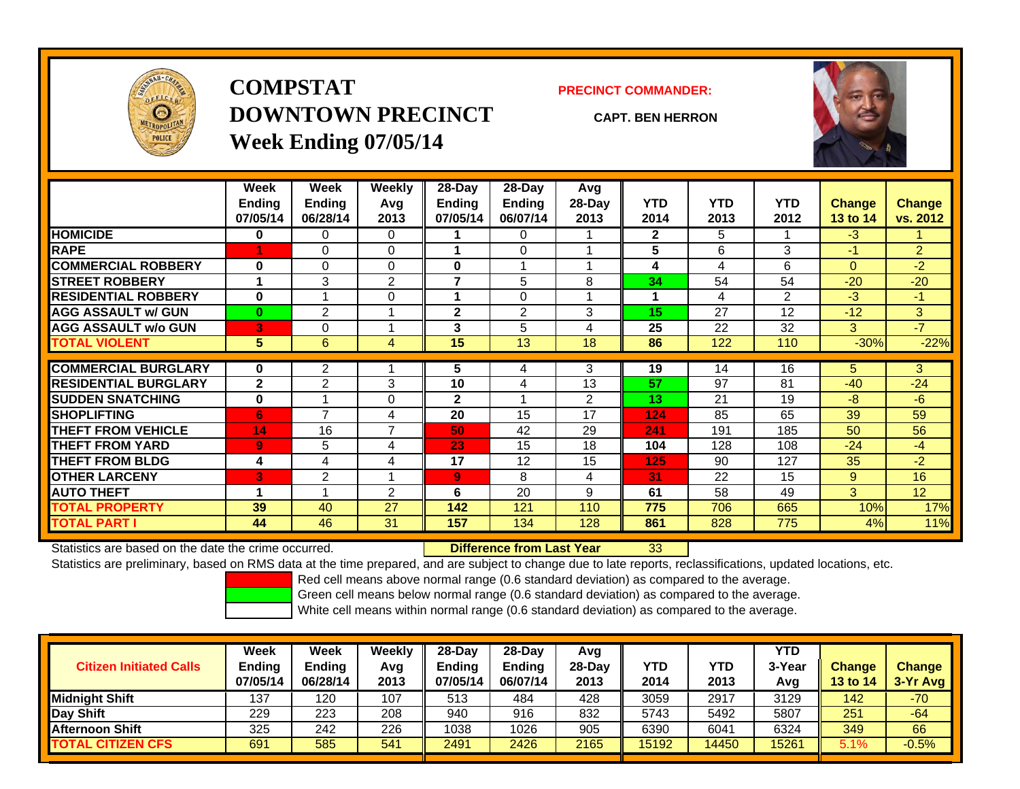

# **COMPSTATDOWNTOWN PRECINCTWeek Ending 07/05/14**

**PRECINCT COMMANDER:**

**CAPT. BEN HERRON**



|                             | <b>Week</b><br><b>Ending</b><br>07/05/14 | Week<br><b>Ending</b><br>06/28/14 | <b>Weekly</b><br>Avg<br>2013 | $28$ -Day<br>Ending<br>07/05/14 | $28$ -Day<br>Ending<br>06/07/14 | Avg<br>$28-Day$<br>2013 | <b>YTD</b><br>2014 | <b>YTD</b><br>2013 | <b>YTD</b><br>2012 | <b>Change</b><br><b>13 to 14</b> | <b>Change</b><br>vs. 2012 |
|-----------------------------|------------------------------------------|-----------------------------------|------------------------------|---------------------------------|---------------------------------|-------------------------|--------------------|--------------------|--------------------|----------------------------------|---------------------------|
| <b>HOMICIDE</b>             | 0                                        | 0                                 | 0                            |                                 | 0                               |                         | $\mathbf{2}$       | 5                  |                    | $-3$                             |                           |
| <b>RAPE</b>                 |                                          | 0                                 | 0                            |                                 | $\Omega$                        |                         | 5                  | 6                  | 3                  | $-1$                             | $\overline{2}$            |
| <b>COMMERCIAL ROBBERY</b>   | 0                                        | 0                                 | 0                            | 0                               | 1                               |                         | 4                  | 4                  | 6                  | $\Omega$                         | $-2$                      |
| <b>STREET ROBBERY</b>       | 1                                        | 3                                 | $\overline{2}$               | 7                               | 5                               | 8                       | 34                 | 54                 | 54                 | $-20$                            | $-20$                     |
| <b>RESIDENTIAL ROBBERY</b>  | $\bf{0}$                                 |                                   | 0                            |                                 | $\Omega$                        |                         |                    | 4                  | $\overline{2}$     | -3                               | $-1$                      |
| <b>AGG ASSAULT w/ GUN</b>   | $\bf{0}$                                 | $\overline{2}$                    |                              | $\mathbf{2}$                    | 2                               | 3                       | 15                 | 27                 | 12                 | $-12$                            | 3                         |
| <b>AGG ASSAULT w/o GUN</b>  | 3                                        | 0                                 |                              | 3                               | 5                               | 4                       | 25                 | 22                 | 32                 | 3                                | $-7$                      |
| <b>TOTAL VIOLENT</b>        | 5                                        | 6                                 | 4                            | 15                              | 13                              | 18                      | 86                 | 122                | 110                | $-30%$                           | $-22%$                    |
|                             |                                          |                                   |                              |                                 |                                 |                         |                    |                    |                    |                                  |                           |
| <b>COMMERCIAL BURGLARY</b>  | $\bf{0}$                                 | 2                                 |                              | 5                               | 4                               | 3                       | 19                 | 14                 | 16                 | 5                                | 3                         |
| <b>RESIDENTIAL BURGLARY</b> | $\mathbf{2}$                             | $\overline{2}$                    | 3                            | 10                              | 4                               | 13                      | 57                 | 97                 | 81                 | $-40$                            | $-24$                     |
| <b>SUDDEN SNATCHING</b>     | 0                                        |                                   | 0                            | $\mathbf{2}$                    | 1                               | 2                       | 13                 | 21                 | 19                 | -8                               | $-6$                      |
| <b>SHOPLIFTING</b>          | 6                                        | $\overline{\phantom{a}}$          | 4                            | 20                              | 15                              | 17                      | 124                | 85                 | 65                 | 39                               | 59                        |
| <b>THEFT FROM VEHICLE</b>   | 14                                       | 16                                | $\overline{ }$               | 50                              | 42                              | 29                      | 241                | 191                | 185                | 50                               | 56                        |
| <b>THEFT FROM YARD</b>      | 9                                        | 5                                 | 4                            | 23                              | 15                              | 18                      | 104                | 128                | 108                | $-24$                            | $-4$                      |
| <b>THEFT FROM BLDG</b>      | 4                                        | 4                                 | 4                            | 17                              | 12                              | 15                      | 125                | 90                 | 127                | 35                               | $-2$                      |
| <b>OTHER LARCENY</b>        | 3                                        | 2                                 |                              | 9                               | 8                               | 4                       | 31                 | 22                 | 15                 | 9                                | 16                        |
| <b>AUTO THEFT</b>           | 1                                        |                                   | $\overline{2}$               | 6                               | 20                              | 9                       | 61                 | 58                 | 49                 | 3                                | 12                        |
| <b>TOTAL PROPERTY</b>       | 39                                       | 40                                | 27                           | 142                             | 121                             | 110                     | 775                | 706                | 665                | 10%                              | 17%                       |
| <b>TOTAL PART I</b>         | 44                                       | 46                                | 31                           | 157                             | 134                             | 128                     | 861                | 828                | 775                | 4%                               | 11%                       |

Statistics are based on the date the crime occurred. **Difference from Last Year** 

33

Statistics are preliminary, based on RMS data at the time prepared, and are subject to change due to late reports, reclassifications, updated locations, etc.

Red cell means above normal range (0.6 standard deviation) as compared to the average.

Green cell means below normal range (0.6 standard deviation) as compared to the average.

| <b>Citizen Initiated Calls</b> | Week<br>Ending<br>07/05/14 | <b>Week</b><br><b>Ending</b><br>06/28/14 | Weekly<br>Avg<br>2013 | 28-Dav<br>Ending<br>07/05/14 | 28-Dav<br><b>Ending</b><br>06/07/14 | Avg<br>28-Dav<br>2013 | YTD<br>2014 | YTD<br>2013 | YTD<br>3-Yea<br>Avg | <b>Change</b><br><b>13 to 14</b> | <b>Change</b><br>3-Yr Avg |
|--------------------------------|----------------------------|------------------------------------------|-----------------------|------------------------------|-------------------------------------|-----------------------|-------------|-------------|---------------------|----------------------------------|---------------------------|
| <b>Midnight Shift</b>          | 137                        | 120                                      | 107                   | 513                          | 484                                 | 428                   | 3059        | 2917        | 3129                | 142                              | $-70$                     |
| Day Shift                      | 229                        | 223                                      | 208                   | 940                          | 916                                 | 832                   | 5743        | 5492        | 5807                | 251                              | $-64$                     |
| <b>Afternoon Shift</b>         | 325                        | 242                                      | 226                   | 1038                         | 1026                                | 905                   | 6390        | 6041        | 6324                | 349                              | 66                        |
| <b>TOTAL CITIZEN CFS</b>       | 691                        | 585                                      | 541                   | 2491                         | 2426                                | 2165                  | 15192       | 14450       | 15261               | 5.1%                             | $-0.5%$                   |

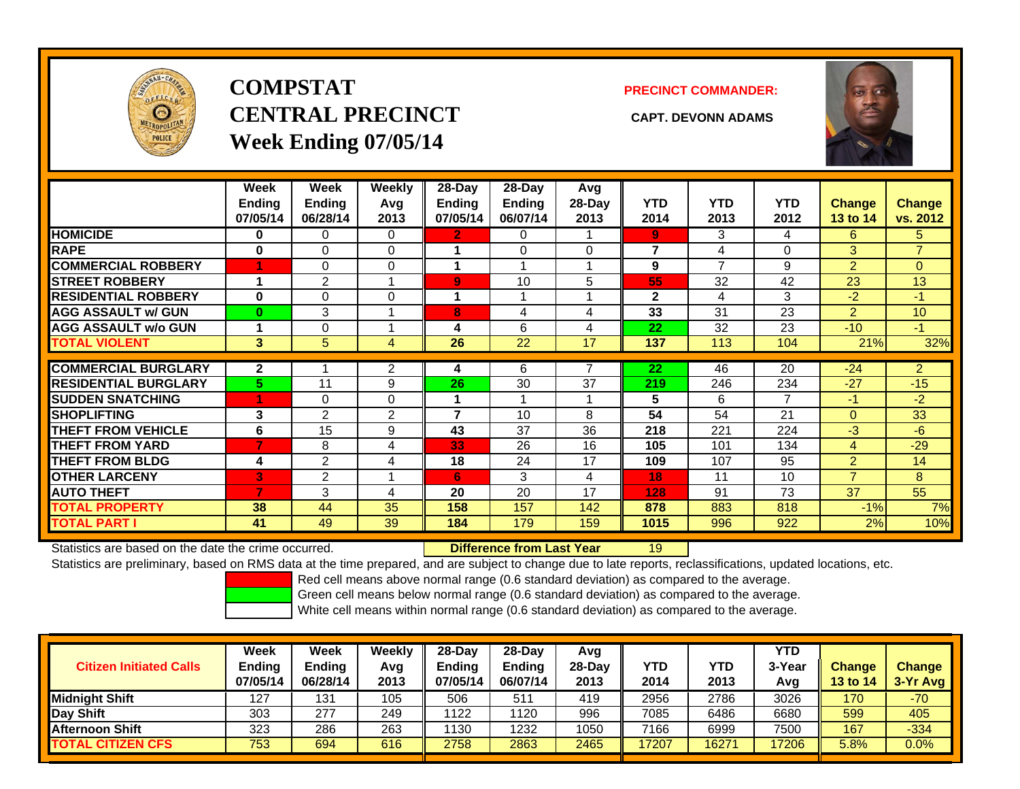

# **COMPSTATCENTRAL PRECINCT CAPT. DEVONN ADAMSWeek Ending 07/05/14**

**PRECINCT COMMANDER:**



|                             | Week          | Week           | Weekly         | 28-Day         | $28-Day$      | Avg      |              |            |            |                |                |
|-----------------------------|---------------|----------------|----------------|----------------|---------------|----------|--------------|------------|------------|----------------|----------------|
|                             | <b>Ending</b> | <b>Ending</b>  | Avg            | Ending         | <b>Ending</b> | 28-Day   | <b>YTD</b>   | <b>YTD</b> | <b>YTD</b> | <b>Change</b>  | <b>Change</b>  |
|                             | 07/05/14      | 06/28/14       | 2013           | 07/05/14       | 06/07/14      | 2013     | 2014         | 2013       | 2012       | 13 to 14       | vs. 2012       |
| <b>HOMICIDE</b>             | 0             | 0              | $\Omega$       | $\mathbf{2}$   | 0             |          | 9            | 3          | 4          | 6              | 5              |
| <b>RAPE</b>                 | 0             | 0              | $\mathbf 0$    |                | $\Omega$      | $\Omega$ | 7            | 4          | 0          | 3              | $\overline{7}$ |
| <b>COMMERCIAL ROBBERY</b>   |               | $\Omega$       | $\Omega$       | 1              |               |          | 9            | 7          | 9          | 2              | $\Omega$       |
| <b>STREET ROBBERY</b>       |               | $\overline{2}$ |                | $\overline{9}$ | 10            | 5        | 55           | 32         | 42         | 23             | 13             |
| <b>RESIDENTIAL ROBBERY</b>  | $\bf{0}$      | $\Omega$       | $\Omega$       | 1              |               |          | $\mathbf{2}$ | 4          | 3          | $-2$           | $-1$           |
| <b>AGG ASSAULT w/ GUN</b>   | $\bf{0}$      | 3              |                | 8              | 4             | 4        | 33           | 31         | 23         | 2              | 10             |
| <b>AGG ASSAULT w/o GUN</b>  |               | 0              |                | 4              | 6             | 4        | 22           | 32         | 23         | $-10$          | $-1$           |
| <b>TOTAL VIOLENT</b>        | 3             | 5              | 4              | 26             | 22            | 17       | 137          | 113        | 104        | 21%            | 32%            |
| <b>COMMERCIAL BURGLARY</b>  | $\mathbf{2}$  |                | $\overline{2}$ |                | 6             | 7        | 22           | 46         | 20         | $-24$          | $\overline{2}$ |
|                             |               |                |                | 4              |               |          |              |            |            |                |                |
| <b>RESIDENTIAL BURGLARY</b> | 5.            | 11             | 9              | 26             | 30            | 37       | 219          | 246        | 234        | $-27$          | $-15$          |
| <b>SUDDEN SNATCHING</b>     |               | 0              | $\Omega$       | 1              |               |          | 5            | 6          | 7          | $-1$           | $-2$           |
| <b>SHOPLIFTING</b>          | 3             | $\overline{2}$ | 2              | 7              | 10            | 8        | 54           | 54         | 21         | $\mathbf{0}$   | 33             |
| <b>THEFT FROM VEHICLE</b>   | 6             | 15             | 9              | 43             | 37            | 36       | 218          | 221        | 224        | $-3$           | $-6$           |
| <b>THEFT FROM YARD</b>      | 7             | 8              | 4              | 33             | 26            | 16       | 105          | 101        | 134        | 4              | $-29$          |
| <b>THEFT FROM BLDG</b>      | 4             | $\overline{2}$ | 4              | 18             | 24            | 17       | 109          | 107        | 95         | 2              | 14             |
| <b>OTHER LARCENY</b>        | B             | $\overline{2}$ |                | 6              | 3             | 4        | 18           | 11         | 10         | $\overline{7}$ | 8              |
| <b>AUTO THEFT</b>           | 7             | 3              | 4              | 20             | 20            | 17       | 128          | 91         | 73         | 37             | 55             |
| TOTAL PROPERTY              | 38            | 44             | 35             | 158            | 157           | 142      | 878          | 883        | 818        | $-1%$          | 7%             |
| <b>TOTAL PART I</b>         | 41            | 49             | 39             | 184            | 179           | 159      | 1015         | 996        | 922        | 2%             | 10%            |

Statistics are based on the date the crime occurred. **Difference from Last Year** 

19

Statistics are preliminary, based on RMS data at the time prepared, and are subject to change due to late reports, reclassifications, updated locations, etc.

Red cell means above normal range (0.6 standard deviation) as compared to the average.

Green cell means below normal range (0.6 standard deviation) as compared to the average.

| <b>Citizen Initiated Calls</b> | Week<br>Ending<br>07/05/14 | Week<br><b>Ending</b><br>06/28/14 | Weekly<br>Avg<br>2013 | 28-Dav<br><b>Ending</b><br>07/05/14 | 28-Dav<br><b>Ending</b><br>06/07/14 | Avg<br>28-Day<br>2013 | <b>YTD</b><br>2014 | YTD<br>2013 | YTD<br>3-Yea<br>Avg | <b>Change</b><br><b>13 to 14</b> | <b>Change</b><br>3-Yr Avg |
|--------------------------------|----------------------------|-----------------------------------|-----------------------|-------------------------------------|-------------------------------------|-----------------------|--------------------|-------------|---------------------|----------------------------------|---------------------------|
| <b>Midnight Shift</b>          | 127                        | 131                               | 105                   | 506                                 | 511                                 | 419                   | 2956               | 2786        | 3026                | 170                              | $-70$                     |
| Day Shift                      | 303                        | 277                               | 249                   | 1122                                | 1120                                | 996                   | 7085               | 6486        | 6680                | 599                              | 405                       |
| <b>Afternoon Shift</b>         | 323                        | 286                               | 263                   | 1130                                | 1232                                | 1050                  | 7166               | 6999        | 7500                | 167                              | $-334$                    |
| <b>TOTAL CITIZEN CFS</b>       | 753                        | 694                               | 616                   | 2758                                | 2863                                | 2465                  | 17207              | 16271       | 17206               | 5.8%                             | $0.0\%$                   |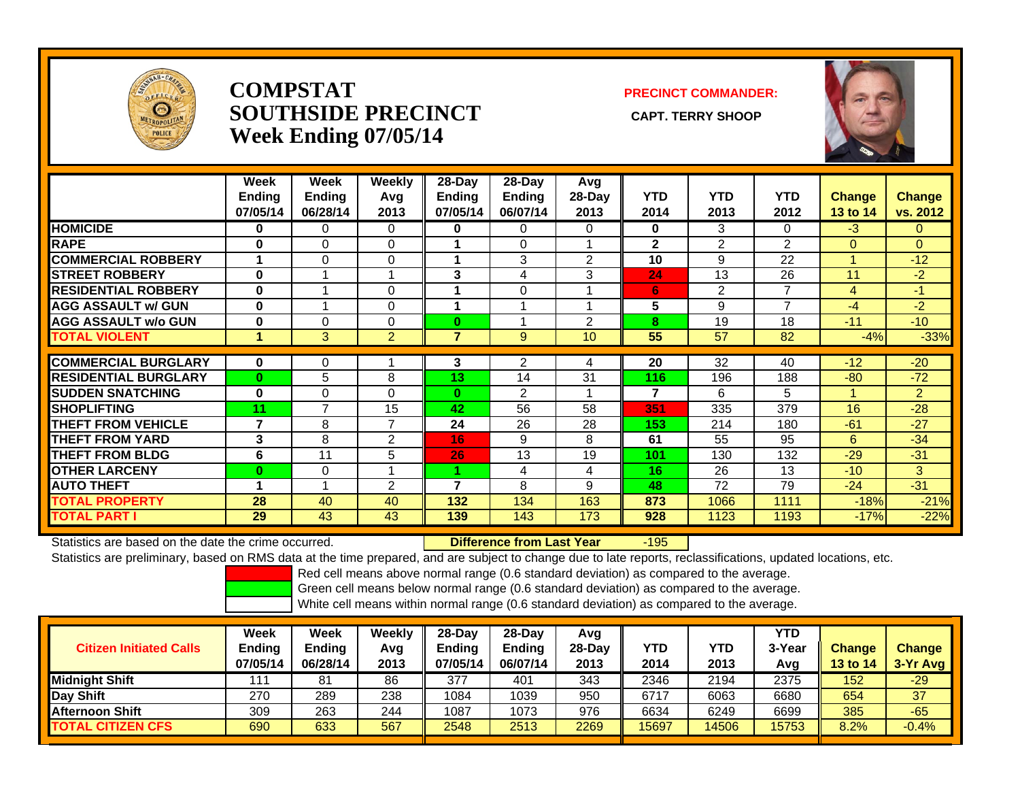

#### **COMPSTATSOUTHSIDE PRECINCT** CAPT. TERRY SHOOP **Week Ending 07/05/14**

#### **PRECINCT COMMANDER:**



|                             | Week<br><b>Ending</b><br>07/05/14 | Week<br><b>Ending</b><br>06/28/14 | Weekly<br>Avg<br>2013 | 28-Day<br><b>Ending</b><br>07/05/14 | 28-Day<br><b>Ending</b><br>06/07/14 | Avg<br>28-Day<br>2013 | <b>YTD</b><br>2014 | <b>YTD</b><br>2013 | <b>YTD</b><br>2012 | <b>Change</b><br>13 to 14 | <b>Change</b><br>vs. 2012 |
|-----------------------------|-----------------------------------|-----------------------------------|-----------------------|-------------------------------------|-------------------------------------|-----------------------|--------------------|--------------------|--------------------|---------------------------|---------------------------|
| <b>HOMICIDE</b>             | $\bf{0}$                          | $\mathbf{0}$                      | $\Omega$              | $\bf{0}$                            | $\Omega$                            | $\Omega$              | 0                  | 3                  | 0                  | $-3$                      | $\Omega$                  |
| <b>RAPE</b>                 | $\bf{0}$                          | $\Omega$                          | $\Omega$              |                                     | 0                                   |                       | $\overline{2}$     | $\overline{2}$     | $\overline{2}$     | $\Omega$                  | $\Omega$                  |
| <b>COMMERCIAL ROBBERY</b>   |                                   | 0                                 | 0                     |                                     | 3                                   | 2                     | 10                 | 9                  | 22                 |                           | $-12$                     |
| <b>STREET ROBBERY</b>       | $\bf{0}$                          |                                   |                       | 3                                   | 4                                   | 3                     | 24                 | 13                 | 26                 | 11                        | $-2$                      |
| <b>RESIDENTIAL ROBBERY</b>  | $\bf{0}$                          |                                   | 0                     |                                     | 0                                   |                       | 6                  | 2                  | 7                  | 4                         | $-1$                      |
| <b>AGG ASSAULT w/ GUN</b>   | $\bf{0}$                          |                                   | 0                     | 4                                   | 4                                   |                       | 5                  | 9                  | $\overline{7}$     | $-4$                      | $-2$                      |
| <b>AGG ASSAULT w/o GUN</b>  | $\bf{0}$                          | $\Omega$                          | 0                     | $\bf{0}$                            |                                     | $\overline{2}$        | 8                  | 19                 | 18                 | $-11$                     | $-10$                     |
| <b>TOTAL VIOLENT</b>        | 1                                 | 3                                 | $\overline{2}$        | 7                                   | 9                                   | 10                    | 55                 | 57                 | 82                 | $-4%$                     | $-33%$                    |
|                             |                                   |                                   |                       |                                     |                                     |                       |                    |                    |                    |                           |                           |
| <b>COMMERCIAL BURGLARY</b>  | $\bf{0}$                          | 0                                 |                       | 3                                   | $\overline{2}$                      | 4                     | 20                 | 32                 | 40                 | $-12$                     | $-20$                     |
| <b>RESIDENTIAL BURGLARY</b> | $\bf{0}$                          | 5                                 | 8                     | 13                                  | 14                                  | 31                    | 116                | 196                | 188                | $-80$                     | $-72$                     |
| <b>SUDDEN SNATCHING</b>     | $\bf{0}$                          | $\Omega$                          | $\Omega$              | $\bf{0}$                            | $\overline{2}$                      |                       | $\overline{7}$     | 6                  | 5                  | и                         | $\overline{2}$            |
| <b>SHOPLIFTING</b>          | 11                                | $\overline{ }$                    | 15                    | 42                                  | 56                                  | 58                    | 351                | 335                | 379                | 16                        | $-28$                     |
| <b>THEFT FROM VEHICLE</b>   | $\overline{7}$                    | 8                                 | $\overline{7}$        | 24                                  | 26                                  | 28                    | 153                | 214                | 180                | $-61$                     | $-27$                     |
| <b>THEFT FROM YARD</b>      | 3                                 | 8                                 | $\overline{2}$        | 16                                  | 9                                   | 8                     | 61                 | 55                 | 95                 | 6                         | $-34$                     |
| <b>THEFT FROM BLDG</b>      | 6                                 | 11                                | 5                     | 26                                  | 13                                  | 19                    | 101                | 130                | 132                | $-29$                     | $-31$                     |
| <b>OTHER LARCENY</b>        | $\bf{0}$                          | $\mathbf{0}$                      | $\overline{A}$        |                                     | 4                                   | 4                     | 16                 | 26                 | 13                 | $-10$                     | 3                         |
| <b>AUTO THEFT</b>           | 1                                 |                                   | 2                     | 7                                   | 8                                   | 9                     | 48                 | 72                 | 79                 | $-24$                     | $-31$                     |
| <b>TOTAL PROPERTY</b>       | 28                                | 40                                | 40                    | 132                                 | 134                                 | 163                   | 873                | 1066               | 1111               | $-18%$                    | $-21%$                    |
| <b>TOTAL PART I</b>         | 29                                | 43                                | 43                    | 139                                 | 143                                 | 173                   | 928                | 1123               | 1193               | $-17%$                    | $-22%$                    |

Statistics are based on the date the crime occurred. **Difference from Last Year** 

r -195

Statistics are preliminary, based on RMS data at the time prepared, and are subject to change due to late reports, reclassifications, updated locations, etc.

Red cell means above normal range (0.6 standard deviation) as compared to the average.

Green cell means below normal range (0.6 standard deviation) as compared to the average.

| <b>Citizen Initiated Calls</b> | Week<br><b>Ending</b><br>07/05/14 | Week<br><b>Ending</b><br>06/28/14 | Weekly<br>Avg<br>2013 | $28-Dav$<br><b>Ending</b><br>07/05/14 | $28$ -Day<br><b>Ending</b><br>06/07/14 | Avg<br>28-Dav<br>2013 | YTD<br>2014 | YTD<br>2013 | <b>YTD</b><br>3-Year<br>Avg | <b>Change</b><br>13 to 14 | <b>Change</b><br>3-Yr Avg |
|--------------------------------|-----------------------------------|-----------------------------------|-----------------------|---------------------------------------|----------------------------------------|-----------------------|-------------|-------------|-----------------------------|---------------------------|---------------------------|
| Midniaht Shift                 | 111                               | 81                                | 86                    | 377                                   | 401                                    | 343                   | 2346        | 2194        | 2375                        | 152                       | $-29$                     |
| Day Shift                      | 270                               | 289                               | 238                   | 1084                                  | 1039                                   | 950                   | 6717        | 6063        | 6680                        | 654                       | 37                        |
| Afternoon Shift                | 309                               | 263                               | 244                   | 1087                                  | 1073                                   | 976                   | 6634        | 6249        | 6699                        | 385                       | $-65$                     |
| <b>TOTAL CITIZEN CFS</b>       | 690                               | 633                               | 567                   | 2548                                  | 2513                                   | 2269                  | 15697       | 14506       | 15753                       | 8.2%                      | $-0.4%$                   |